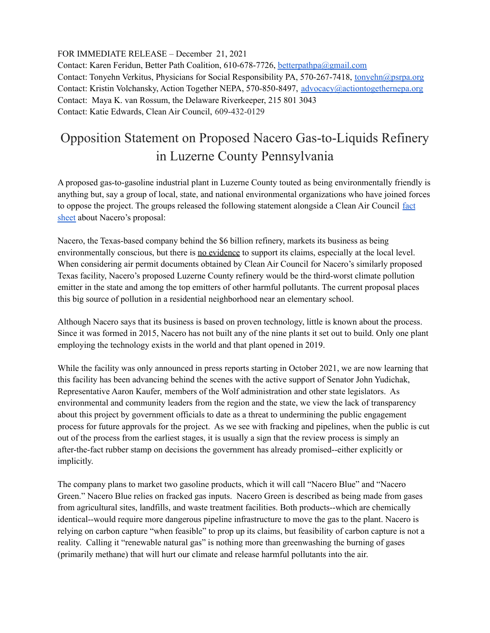FOR IMMEDIATE RELEASE – December 21, 2021

Contact: Karen Feridun, Better Path Coalition, 610-678-7726, [betterpathpa@gmail.com](mailto:betterpathpa@gmail.com) Contact: Tonyehn Verkitus, Physicians for Social Responsibility PA, 570-267-7418, [tonyehn@psrpa.org](mailto:tonyehn@psrpa.org) Contact: Kristin Volchansky, Action Together NEPA, 570-850-8497, [advocacy@actiontogethernepa.org](mailto:advocacy@actiontogethernepa.org) Contact: Maya K. van Rossum, the Delaware Riverkeeper, 215 801 3043 Contact: Katie Edwards, Clean Air Council, 609-432-0129

## Opposition Statement on Proposed Nacero Gas-to-Liquids Refinery in Luzerne County Pennsylvania

A proposed gas-to-gasoline industrial plant in Luzerne County touted as being environmentally friendly is anything but, say a group of local, state, and national environmental organizations who have joined forces to oppose the project. The groups released the following statement alongside a Clean Air Council [fact](https://cleanair.org/wp-content/uploads/Nacero_FS-FINAL_wLinks_Update12-21-21.pdf) [sheet](https://cleanair.org/wp-content/uploads/Nacero_FS-FINAL_wLinks_Update12-21-21.pdf) about Nacero's proposal:

Nacero, the Texas-based company behind the \$6 billion refinery, markets its business as being environmentally conscious, but there is no evidence to support its claims, especially at the local level. When considering air permit documents obtained by Clean Air Council for Nacero's similarly proposed Texas facility, Nacero's proposed Luzerne County refinery would be the third-worst climate pollution emitter in the state and among the top emitters of other harmful pollutants. The current proposal places this big source of pollution in a residential neighborhood near an elementary school.

Although Nacero says that its business is based on proven technology, little is known about the process. Since it was formed in 2015, Nacero has not built any of the nine plants it set out to build. Only one plant employing the technology exists in the world and that plant opened in 2019.

While the facility was only announced in press reports starting in October 2021, we are now learning that this facility has been advancing behind the scenes with the active support of Senator John Yudichak, Representative Aaron Kaufer, members of the Wolf administration and other state legislators. As environmental and community leaders from the region and the state, we view the lack of transparency about this project by government officials to date as a threat to undermining the public engagement process for future approvals for the project. As we see with fracking and pipelines, when the public is cut out of the process from the earliest stages, it is usually a sign that the review process is simply an after-the-fact rubber stamp on decisions the government has already promised--either explicitly or implicitly.

The company plans to market two gasoline products, which it will call "Nacero Blue" and "Nacero Green." Nacero Blue relies on fracked gas inputs. Nacero Green is described as being made from gases from agricultural sites, landfills, and waste treatment facilities. Both products--which are chemically identical--would require more dangerous pipeline infrastructure to move the gas to the plant. Nacero is relying on carbon capture "when feasible" to prop up its claims, but feasibility of carbon capture is not a reality. Calling it "renewable natural gas" is nothing more than greenwashing the burning of gases (primarily methane) that will hurt our climate and release harmful pollutants into the air.